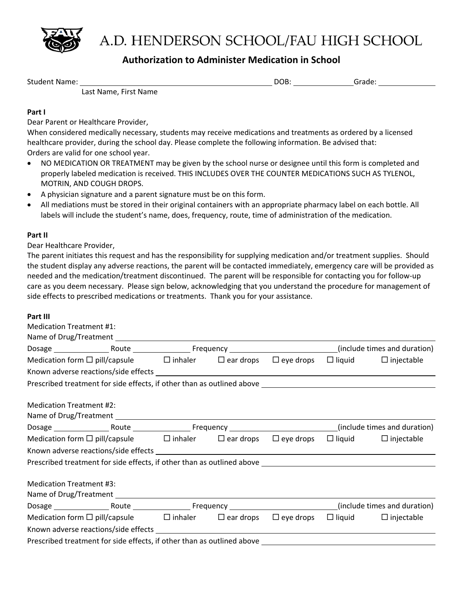

## A.D. HENDERSON SCHOOL/FAU HIGH SCHOOL

### **Authorization to Administer Medication in School**

Student Name: Student Name: Student Name: Student Name: Student Name: Student Name: Student Name: Student Student Student Student Student Student Student Student Student Student Student Student Student Student Student Stud

Last Name, First Name

#### **Part I**

Dear Parent or Healthcare Provider,

When considered medically necessary, students may receive medications and treatments as ordered by a licensed healthcare provider, during the school day. Please complete the following information. Be advised that: Orders are valid for one school year.

- NO MEDICATION OR TREATMENT may be given by the school nurse or designee until this form is completed and properly labeled medication is received. THIS INCLUDES OVER THE COUNTER MEDICATIONS SUCH AS TYLENOL, MOTRIN, AND COUGH DROPS.
- A physician signature and a parent signature must be on this form.
- All mediations must be stored in their original containers with an appropriate pharmacy label on each bottle. All labels will include the student's name, does, frequency, route, time of administration of the medication.

#### **Part II**

Dear Healthcare Provider,

The parent initiates this request and has the responsibility for supplying medication and/or treatment supplies. Should the student display any adverse reactions, the parent will be contacted immediately, emergency care will be provided as needed and the medication/treatment discontinued. The parent will be responsible for contacting you for follow‐up care as you deem necessary. Please sign below, acknowledging that you understand the procedure for management of side effects to prescribed medications or treatments. Thank you for your assistance.

#### **Part III**

| <b>Medication Treatment #1:</b>                                                                                      |  |  |  |  |  |  |  |
|----------------------------------------------------------------------------------------------------------------------|--|--|--|--|--|--|--|
|                                                                                                                      |  |  |  |  |  |  |  |
|                                                                                                                      |  |  |  |  |  |  |  |
| Medication form $\Box$ pill/capsule $\Box$ inhaler $\Box$ ear drops $\Box$ eye drops $\Box$ liquid $\Box$ injectable |  |  |  |  |  |  |  |
|                                                                                                                      |  |  |  |  |  |  |  |
|                                                                                                                      |  |  |  |  |  |  |  |
| <b>Medication Treatment #2:</b>                                                                                      |  |  |  |  |  |  |  |
|                                                                                                                      |  |  |  |  |  |  |  |
| Medication form $\Box$ pill/capsule $\Box$ inhaler $\Box$ ear drops $\Box$ eye drops $\Box$ liquid $\Box$ injectable |  |  |  |  |  |  |  |
|                                                                                                                      |  |  |  |  |  |  |  |
|                                                                                                                      |  |  |  |  |  |  |  |
| <b>Medication Treatment #3:</b>                                                                                      |  |  |  |  |  |  |  |
|                                                                                                                      |  |  |  |  |  |  |  |
| Medication form $\Box$ pill/capsule $\Box$ inhaler $\Box$ ear drops $\Box$ eye drops $\Box$ liquid $\Box$ injectable |  |  |  |  |  |  |  |
|                                                                                                                      |  |  |  |  |  |  |  |
|                                                                                                                      |  |  |  |  |  |  |  |